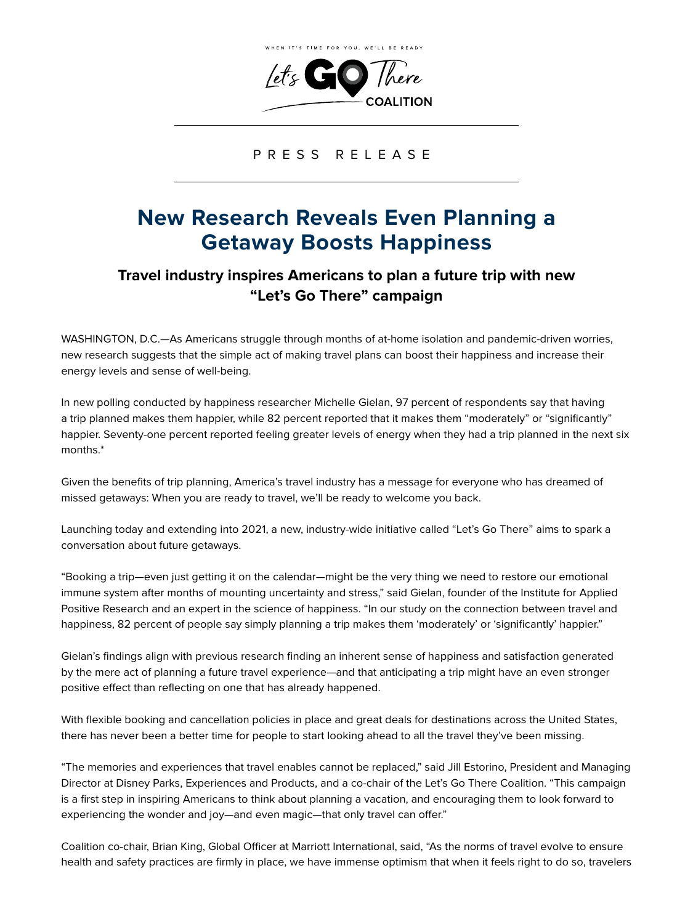

PRESS RELEASE

## **New Research Reveals Even Planning a Getaway Boosts Happiness**

## **Travel industry inspires Americans to plan a future trip with new "Let's Go There" campaign**

WASHINGTON, D.C.—As Americans struggle through months of at-home isolation and pandemic-driven worries, new research suggests that the simple act of making travel plans can boost their happiness and increase their energy levels and sense of well-being.

In new polling conducted by happiness researcher Michelle Gielan, 97 percent of respondents say that having a trip planned makes them happier, while 82 percent reported that it makes them "moderately" or "significantly" happier. Seventy-one percent reported feeling greater levels of energy when they had a trip planned in the next six months.\*

Given the benefits of trip planning, America's travel industry has a message for everyone who has dreamed of missed getaways: When you are ready to travel, we'll be ready to welcome you back.

Launching today and extending into 2021, a new, industry-wide initiative called "Let's Go There" aims to spark a conversation about future getaways.

"Booking a trip—even just getting it on the calendar—might be the very thing we need to restore our emotional immune system after months of mounting uncertainty and stress," said Gielan, founder of the Institute for Applied Positive Research and an expert in the science of happiness. "In our study on the connection between travel and happiness, 82 percent of people say simply planning a trip makes them 'moderately' or 'significantly' happier."

Gielan's findings align with previous research finding an inherent sense of happiness and satisfaction generated by the mere act of planning a future travel experience—and that anticipating a trip might have an even stronger positive effect than reflecting on one that has already happened.

With flexible booking and cancellation policies in place and great deals for destinations across the United States, there has never been a better time for people to start looking ahead to all the travel they've been missing.

"The memories and experiences that travel enables cannot be replaced," said Jill Estorino, President and Managing Director at Disney Parks, Experiences and Products, and a co-chair of the Let's Go There Coalition. "This campaign is a first step in inspiring Americans to think about planning a vacation, and encouraging them to look forward to experiencing the wonder and joy—and even magic—that only travel can offer."

Coalition co-chair, Brian King, Global Officer at Marriott International, said, "As the norms of travel evolve to ensure health and safety practices are firmly in place, we have immense optimism that when it feels right to do so, travelers